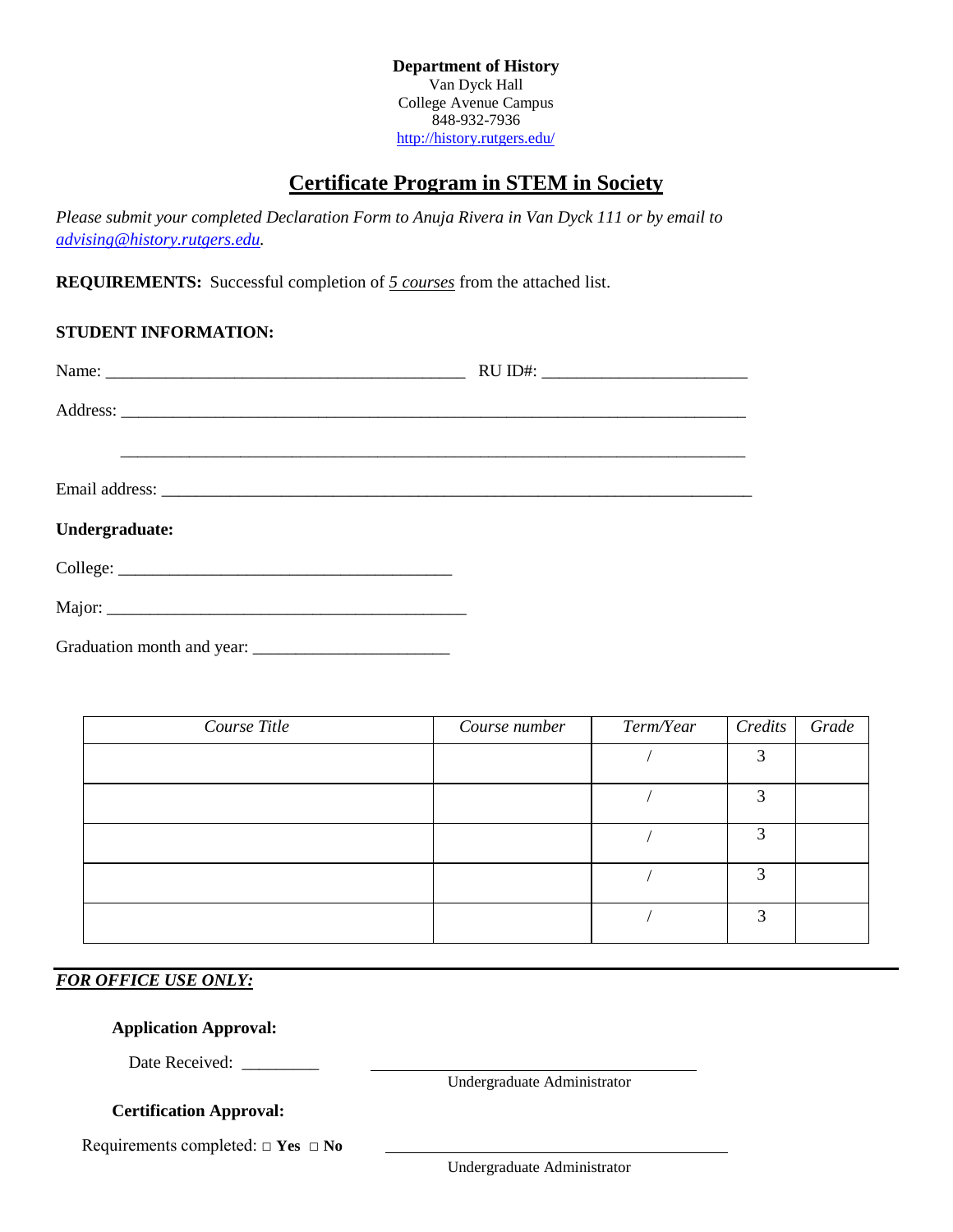**Department of History** Van Dyck Hall College Avenue Campus 848-932-7936 <http://history.rutgers.edu/>

# **Certificate Program in STEM in Society**

*Please submit your completed Declaration Form to Anuja Rivera in Van Dyck 111 or by email to [advising@history.rutgers.edu.](mailto:advising@history.rutgers.edu)*

**REQUIREMENTS:** Successful completion of *5 courses* from the attached list.

#### **STUDENT INFORMATION:**

| Name:          |  |
|----------------|--|
|                |  |
|                |  |
|                |  |
| Undergraduate: |  |
|                |  |
|                |  |
|                |  |

| Course Title | Course number | Term/Year | Credits           | Grade |
|--------------|---------------|-----------|-------------------|-------|
|              |               |           | っ                 |       |
|              |               |           | $\mathbf{\Omega}$ |       |
|              |               |           | 2                 |       |
|              |               |           | $\mathbf{z}$      |       |
|              |               |           | っ                 |       |

## *FOR OFFICE USE ONLY:*

#### **Application Approval:**

Date Received: \_\_\_\_\_\_\_\_\_\_

Undergraduate Administrator

### **Certification Approval:**

Requirements completed: □ **Yes** □ **No**

Undergraduate Administrator